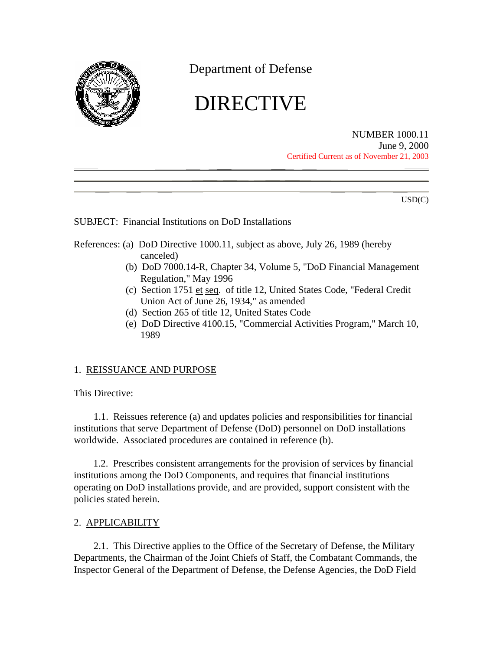<span id="page-0-0"></span>

Department of Defense

# DIRECTIVE

NUMBER 1000.11 June 9, 2000 Certified Current as of November 21, 2003

USD(C)

SUBJECT: Financial Institutions on DoD Installations

- References: (a) DoD Directive 1000.11, subject as above, July 26, 1989 (hereby canceled)
	- (b) DoD 7000.14-R, Chapter 34, Volume 5, "DoD Financial Management Regulation," May 1996
	- (c) Section 1751 et seq. of title 12, United States Code, "Federal Credit Union Act of June 26, 1934," as amended
	- (d) Section 265 of title 12, United States Code
	- (e) [DoD Directive 4100.15,](http://c/Documents and Settings/bynuml/Local Settings/pdf2/d410015p.pdf) "Commercial Activities Program," March 10, 1989

## 1. REISSUANCE AND PURPOSE

This Directive:

1.1. Reissues [reference \(a\)](#page-0-0) and updates policies and responsibilities for financial institutions that serve Department of Defense (DoD) personnel on DoD installations worldwide. Associated procedures are contained in [reference \(b\).](#page-0-0)

1.2. Prescribes consistent arrangements for the provision of services by financial institutions among the DoD Components, and requires that financial institutions operating on DoD installations provide, and are provided, support consistent with the policies stated herein.

## 2. APPLICABILITY

2.1. This Directive applies to the Office of the Secretary of Defense, the Military Departments, the Chairman of the Joint Chiefs of Staff, the Combatant Commands, the Inspector General of the Department of Defense, the Defense Agencies, the DoD Field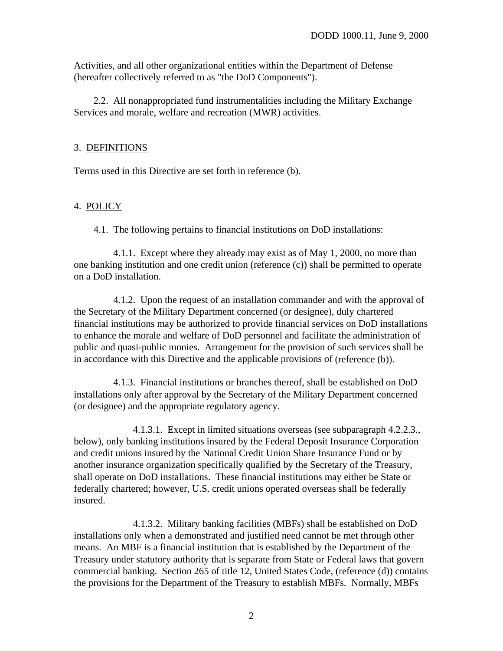<span id="page-1-0"></span>Activities, and all other organizational entities within the Department of Defense (hereafter collectively referred to as "the DoD Components").

2.2. All nonappropriated fund instrumentalities including the Military Exchange Services and morale, welfare and recreation (MWR) activities.

### 3. DEFINITIONS

Terms used in this Directive are set forth in [reference \(b\).](#page-0-0)

### 4. POLICY

4.1. The following pertains to financial institutions on DoD installations:

4.1.1. Except where they already may exist as of May 1, 2000, no more than one banking institution and one credit union [\(reference \(c\)\)](#page-0-0) shall be permitted to operate on a DoD installation.

4.1.2. Upon the request of an installation commander and with the approval of the Secretary of the Military Department concerned (or designee), duly chartered financial institutions may be authorized to provide financial services on DoD installations to enhance the morale and welfare of DoD personnel and facilitate the administration of public and quasi-public monies. Arrangement for the provision of such services shall be in accordance with this Directive and the applicable provisions of [\(reference \(b\)\).](#page-0-0)

4.1.3. Financial institutions or branches thereof, shall be established on DoD installations only after approval by the Secretary of the Military Department concerned (or designee) and the appropriate regulatory agency.

4.1.3.1. Except in limited situations overseas (see subparagraph [4.2.2.3.,](#page-3-0) below), only banking institutions insured by the Federal Deposit Insurance Corporation and credit unions insured by the National Credit Union Share Insurance Fund or by another insurance organization specifically qualified by the Secretary of the Treasury, shall operate on DoD installations. These financial institutions may either be State or federally chartered; however, U.S. credit unions operated overseas shall be federally insured.

4.1.3.2. Military banking facilities (MBFs) shall be established on DoD installations only when a demonstrated and justified need cannot be met through other means. An MBF is a financial institution that is established by the Department of the Treasury under statutory authority that is separate from State or Federal laws that govern commercial banking. Section 265 of title 12, United States Code, [\(reference \(d\)\)](#page-0-0) contains the provisions for the Department of the Treasury to establish MBFs. Normally, MBFs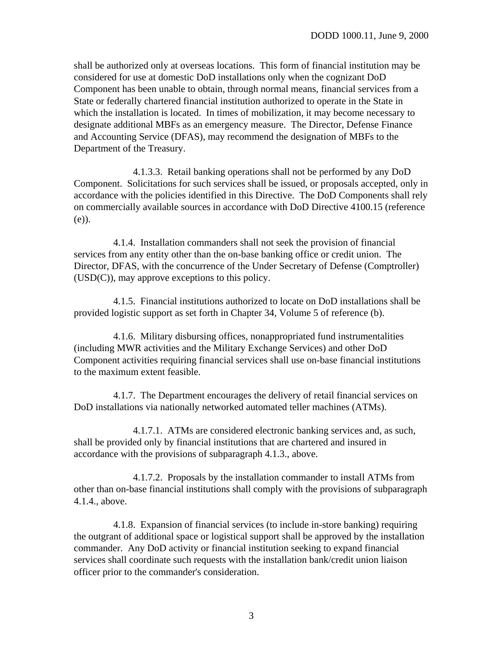<span id="page-2-0"></span>shall be authorized only at overseas locations. This form of financial institution may be considered for use at domestic DoD installations only when the cognizant DoD Component has been unable to obtain, through normal means, financial services from a State or federally chartered financial institution authorized to operate in the State in which the installation is located. In times of mobilization, it may become necessary to designate additional MBFs as an emergency measure. The Director, Defense Finance and Accounting Service (DFAS), may recommend the designation of MBFs to the Department of the Treasury.

4.1.3.3. Retail banking operations shall not be performed by any DoD Component. Solicitations for such services shall be issued, or proposals accepted, only in accordance with the policies identified in this Directive. The DoD Components shall rely on commercially available sources in accordance with DoD Directive 4100.15 [\(reference](#page-0-0)  [\(e\)\).](#page-0-0)

4.1.4. Installation commanders shall not seek the provision of financial services from any entity other than the on-base banking office or credit union. The Director, DFAS, with the concurrence of the Under Secretary of Defense (Comptroller) (USD(C)), may approve exceptions to this policy.

4.1.5. Financial institutions authorized to locate on DoD installations shall be provided logistic support as set forth in Chapter 34, Volume 5 of [reference \(b\).](#page-0-0)

4.1.6. Military disbursing offices, nonappropriated fund instrumentalities (including MWR activities and the Military Exchange Services) and other DoD Component activities requiring financial services shall use on-base financial institutions to the maximum extent feasible.

4.1.7. The Department encourages the delivery of retail financial services on DoD installations via nationally networked automated teller machines (ATMs).

4.1.7.1. ATMs are considered electronic banking services and, as such, shall be provided only by financial institutions that are chartered and insured in accordance with the provisions of subparagraph [4.1.3.,](#page-1-0) above.

4.1.7.2. Proposals by the installation commander to install ATMs from other than on-base financial institutions shall comply with the provisions of subparagraph [4.1.4.,](#page-2-0) above.

4.1.8. Expansion of financial services (to include in-store banking) requiring the outgrant of additional space or logistical support shall be approved by the installation commander. Any DoD activity or financial institution seeking to expand financial services shall coordinate such requests with the installation bank/credit union liaison officer prior to the commander's consideration.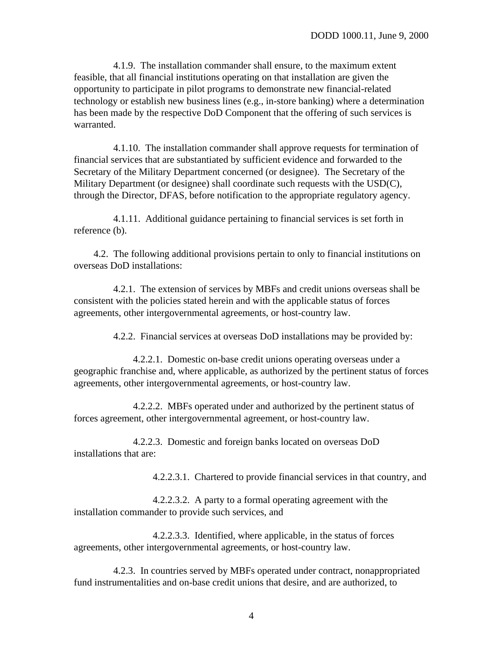<span id="page-3-0"></span>4.1.9. The installation commander shall ensure, to the maximum extent feasible, that all financial institutions operating on that installation are given the opportunity to participate in pilot programs to demonstrate new financial-related technology or establish new business lines (e.g., in-store banking) where a determination has been made by the respective DoD Component that the offering of such services is warranted.

4.1.10. The installation commander shall approve requests for termination of financial services that are substantiated by sufficient evidence and forwarded to the Secretary of the Military Department concerned (or designee). The Secretary of the Military Department (or designee) shall coordinate such requests with the USD(C), through the Director, DFAS, before notification to the appropriate regulatory agency.

4.1.11. Additional guidance pertaining to financial services is set forth in [reference \(b\).](#page-0-0)

4.2. The following additional provisions pertain to only to financial institutions on overseas DoD installations:

4.2.1. The extension of services by MBFs and credit unions overseas shall be consistent with the policies stated herein and with the applicable status of forces agreements, other intergovernmental agreements, or host-country law.

4.2.2. Financial services at overseas DoD installations may be provided by:

4.2.2.1. Domestic on-base credit unions operating overseas under a geographic franchise and, where applicable, as authorized by the pertinent status of forces agreements, other intergovernmental agreements, or host-country law.

4.2.2.2. MBFs operated under and authorized by the pertinent status of forces agreement, other intergovernmental agreement, or host-country law.

4.2.2.3. Domestic and foreign banks located on overseas DoD installations that are:

4.2.2.3.1. Chartered to provide financial services in that country, and

4.2.2.3.2. A party to a formal operating agreement with the installation commander to provide such services, and

4.2.2.3.3. Identified, where applicable, in the status of forces agreements, other intergovernmental agreements, or host-country law.

4.2.3. In countries served by MBFs operated under contract, nonappropriated fund instrumentalities and on-base credit unions that desire, and are authorized, to